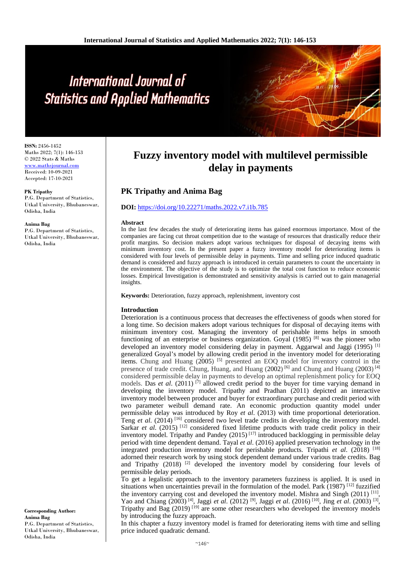# International Journal of **Statistics and Applied Mathematics**

**ISSN:** 2456-1452 Maths 2022; 7(1): 146-153 © 2022 Stats & Maths www.mathsjournal.com

Received: 10-09-2021 Accepted: 17-10-2021

#### **PK Tripathy**

P.G. Department of Statistics, Utkal University, Bhubaneswar, Odisha, India

#### **Anima Bag**

P.G. Department of Statistics, Utkal University, Bhubaneswar, Odisha, India

#### **Corresponding Author: Anima Bag** P.G. Department of Statistics, Utkal University, Bhubaneswar, Odisha, India

# **Fuzzy inventory model with multilevel permissible delay in payments**

# **PK Tripathy and Anima Bag**

# **DOI:** <https://doi.org/10.22271/maths.2022.v7.i1b.785>

#### **Abstract**

In the last few decades the study of deteriorating items has gained enormous importance. Most of the companies are facing cut throat competition due to the wastage of resources that drastically reduce their profit margins. So decision makers adopt various techniques for disposal of decaying items with minimum inventory cost. In the present paper a fuzzy inventory model for deteriorating items is considered with four levels of permissible delay in payments. Time and selling price induced quadratic demand is considered and fuzzy approach is introduced in certain parameters to count the uncertainty in the environment. The objective of the study is to optimize the total cost function to reduce economic losses. Empirical Investigation is demonstrated and sensitivity analysis is carried out to gain managerial insights.

**Keywords:** Deterioration, fuzzy approach, replenishment, inventory cost

#### **Introduction**

Deterioration is a continuous process that decreases the effectiveness of goods when stored for a long time. So decision makers adopt various techniques for disposal of decaying items with minimum inventory cost. Managing the inventory of perishable items helps in smooth functioning of an enterprise or business organization. Goyal  $(1985)$  <sup>[8]</sup> was the pioneer who developed an inventory model considering delay in payment. Aggarwal and Jaggi (1995)<sup>[1]</sup> generalized Goyal's model by allowing credit period in the inventory model for deteriorating items. Chung and Huang (2005) [5] presented an EOQ model for inventory control in the presence of trade credit. Chung, Huang, and Huang  $(2002)$  [6] and Chung and Huang  $(2003)$  [4] considered permissible delay in payments to develop an optimal replenishment policy for EOQ models. Das *et al.* (2011)<sup>[7]</sup> allowed credit period to the buyer for time varying demand in developing the inventory model. Tripathy and Pradhan (2011) depicted an interactive inventory model between producer and buyer for extraordinary purchase and credit period with two parameter weibull demand rate. An economic production quantity model under permissible delay was introduced by Roy *et al*. (2013) with time proportional deterioration. Teng *et al.* (2014)<sup>[16]</sup> considered two level trade credits in developing the inventory model. Sarkar *et al.* (2015)<sup>[12]</sup> considered fixed lifetime products with trade credit policy in their inventory model. Tripathy and Pandey  $(2015)^{117}$  introduced backlogging in permissible delay period with time dependent demand. Tayal *et al*. (2016) applied preservation technology in the integrated production inventory model for perishable products. Tripathi *et al*. (2018) [18] adorned their research work by using stock dependent demand under various trade credits. Bag and Tripathy  $(2018)$   $^{[2]}$  developed the inventory model by considering four levels of permissible delay periods.

To get a legalistic approach to the inventory parameters fuzziness is applied. It is used in situations when uncertainties prevail in the formulation of the model. Park (1987) [12] fuzzified the inventory carrying cost and developed the inventory model. Mishra and Singh (2011)<sup>[11]</sup>, Yao and Chiang (2003)<sup>[4]</sup>, Jaggi *et al.* (2012)<sup>[9]</sup>, Jaggi *et al.* (2016)<sup>[10]</sup>, Jing *et al.* (2003)<sup>[3]</sup>, Tripathy and Bag (2019)<sup>[19]</sup> are some other researchers who developed the inventory models by introducing the fuzzy approach.

In this chapter a fuzzy inventory model is framed for deteriorating items with time and selling price induced quadratic demand.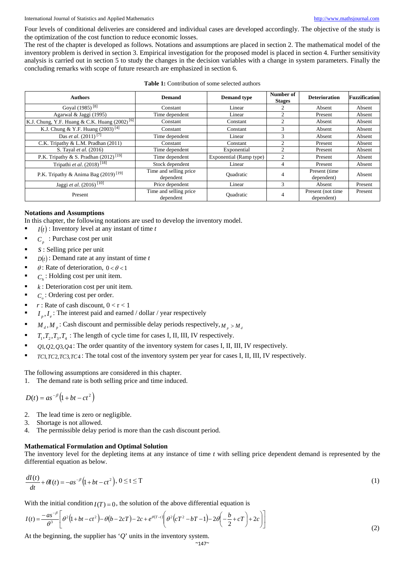Four levels of conditional deliveries are considered and individual cases are developed accordingly. The objective of the study is the optimization of the cost function to reduce economic losses.

The rest of the chapter is developed as follows. Notations and assumptions are placed in section 2. The mathematical model of the inventory problem is derived in section 3. Empirical investigation for the proposed model is placed in section 4. Further sensitivity analysis is carried out in section 5 to study the changes in the decision variables with a change in system parameters. Finally the concluding remarks with scope of future research are emphasized in section 6.

| <b>Table 1:</b> Contribution of some selected authors |
|-------------------------------------------------------|
|                                                       |

| <b>Authors</b>                                            | <b>Demand</b>                       | <b>Demand</b> type      | Number of<br><b>Stages</b> | <b>Deterioration</b>             | <b>Fuzzification</b> |
|-----------------------------------------------------------|-------------------------------------|-------------------------|----------------------------|----------------------------------|----------------------|
| Goyal (1985) <sup>[8]</sup>                               | Constant                            | Linear                  | 2                          | Absent                           | Absent               |
| Agarwal & Jaggi (1995)                                    | Time dependent                      | Linear                  | $\overline{c}$             | Present                          | Absent               |
| K.J. Chung, Y.F. Huang & C.K. Huang (2002) <sup>[6]</sup> | Constant                            | Constant                | $\overline{c}$             | Absent                           | Absent               |
| K.J. Chung & Y.F. Huang $(2003)^{[4]}$                    | Constant                            | Constant                | 3                          | Absent                           | Absent               |
| Das et al. $(2011)^{7}$                                   | Time dependent                      | Linear                  | 3                          | Absent                           | Absent               |
| C.K. Tripathy & L.M. Pradhan (2011)                       | Constant                            | Constant                | $\overline{c}$             | Present                          | Absent               |
| S. Tayal et al. (2016)                                    | Time dependent                      | Exponential             | $\overline{c}$             | Present                          | Absent               |
| P.K. Tripathy & S. Pradhan $(2012)$ <sup>[19]</sup>       | Time dependent                      | Exponential (Ramp type) | $\overline{c}$             | Present                          | Absent               |
| Tripathi et al. $(2018)^{[18]}$                           | Stock dependent                     | Linear                  | $\overline{4}$             | Present                          | Absent               |
| P.K. Tripathy & Anima Bag (2019) <sup>[19]</sup>          | Time and selling price<br>dependent | <b>Quadratic</b>        | 4                          | Present (time)<br>dependent)     | Absent               |
| Jaggi et al. (2016) <sup>[10]</sup>                       | Price dependent                     | Linear                  | 3                          | Absent                           | Present              |
| Present                                                   | Time and selling price<br>dependent | Ouadratic               | 4                          | Present (not time)<br>dependent) | Present              |

# **Notations and Assumptions**

In this chapter, the following notations are used to develop the inventory model.

- $I(t)$ : Inventory level at any instant of time *t*
- $C_p$ : Purchase cost per unit
- *s*: Selling price per unit
- $D(t)$ : Demand rate at any instant of time *t*
- $\theta$ : Rate of deterioration,  $0 < \theta < 1$
- $C<sub>h</sub>$ : Holding cost per unit item.
- *k* : Deterioration cost per unit item.
- *C*: Ordering cost per order.
- *r* : Rate of cash discount,  $0 < r < 1$
- $I_{n}$ ,  $I_{e}$ : The interest paid and earned / dollar / year respectively
- $M_{d}$ ,  $M_{p}$ : Cash discount and permissible delay periods respectively,  $M_{p} > M_{d}$
- $T_1, T_2, T_3, T_4$ : The length of cycle time for cases I, II, III, IV respectively.
- $Q1, Q2, Q3, Q4$ : The order quantity of the inventory system for cases I, II, III, IV respectively.
- *TC*1,*TC*2,*TC*3,*TC*4 : The total cost of the inventory system per year for cases I, II, III, IV respectively.

The following assumptions are considered in this chapter.

The demand rate is both selling price and time induced.

 $D(t) = as^{-\beta}\left(1 + bt - ct^2\right)$ 

- 2. The lead time is zero or negligible.
- 3. Shortage is not allowed.
- 4. The permissible delay period is more than the cash discount period.

# **Mathematical Formulation and Optimal Solution**

The inventory level for the depleting items at any instance of time *t* with selling price dependent demand is represented by the differential equation as below.

$$
\frac{dI(t)}{dt} + \theta I(t) = -as^{-\beta}\left(1 + bt - ct^2\right), 0 \le t \le T
$$
\n<sup>(1)</sup>

With the initial condition  $I(T) = 0$ , the solution of the above differential equation is

$$
I(t) = \frac{-as^{-\beta}}{\theta^3} \left[ \theta^2 (1 + bt - ct^2) - \theta (b - 2cT) - 2c + e^{\theta (T-t)} \left( \theta^2 (cT^2 - bT - 1) - 2\theta \left( -\frac{b}{2} + cT \right) + 2c \right) \right]
$$
(2)

At the beginning, the supplier has '*Q*' units in the inventory system.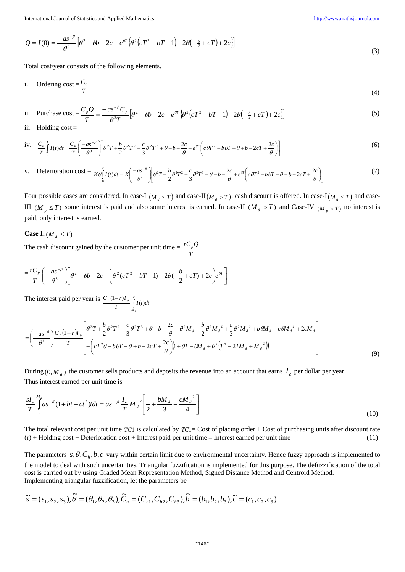$$
Q = I(0) = \frac{-as^{-\beta}}{\theta^3} \left[ \theta^2 - \theta b - 2c + e^{\theta T} \left\{ \theta^2 \left( cT^2 - bT - 1 \right) - 2\theta \left( -\frac{b}{2} + cT \right) + 2c \right\} \right]
$$
(3)

Total cost/year consists of the following elements.

i. Ordering cost = 
$$
\frac{C_0}{T}
$$
 (4)

ii. Purchase cost 
$$
=\frac{C_p Q}{T} = \frac{-as^{-\beta}C_p}{\theta^3 T} \left[ \theta^2 - \theta b - 2c + e^{\theta T} \left\{ \theta^2 \left( cT^2 - bT - 1 \right) - 2\theta \left( -\frac{b}{2} + cT \right) + 2c \right\} \right]
$$
 (5)

iii. Holding  $cost =$ 

iv. 
$$
\frac{C_h}{T} \int_0^T I(t)dt = \frac{C_h}{T} \left( \frac{-as^{-\beta}}{\theta^3} \right) \left[ \theta^2 T + \frac{b}{2} \theta^2 T^2 - \frac{c}{3} \theta^2 T^3 + \theta - b - \frac{2c}{\theta} + e^{\theta T} \left( c \theta T^2 - b \theta T - \theta + b - 2cT + \frac{2c}{\theta} \right) \right]
$$
(6)

v. Detection cost = 
$$
K\theta \int_0^T I(t)dt = K\left(\frac{-as^{-\beta}}{\theta^2}\right)\left[\theta^2T + \frac{b}{2}\theta^2T^2 - \frac{c}{3}\theta^2T^3 + \theta - b - \frac{2c}{\theta} + e^{\theta T}\left(c\theta T^2 - b\theta T - \theta + b - 2cT + \frac{2c}{\theta}\right)\right]
$$
 (7)

Four possible cases are considered. In case-I  $(M_d \leq T)$  and case-II $(M_d > T)$ , cash discount is offered. In case-I $(M_d \leq T)$  and case-III ( $M_p \leq T$ ) some interest is paid and also some interest is earned. In case-II ( $M_d > T$ ) and Case-IV ( $M_p > T$ ) no interest is paid, only interest is earned.

# **Case I:**  $(M_A \leq T)$

The cash discount gained by the customer per unit time  $=$ *T rCpQ*

$$
=\frac{rC_p}{T}\left(\frac{-as^{-\beta}}{\theta^3}\right)\left[\theta^2-\theta b-2c+\left(\theta^2(cT^2-bT-1)-2\theta(-\frac{b}{2}+cT)+2c\right)e^{\theta T}\right]
$$

The interest paid per year is  $\frac{C_p (1-r)I_p}{T} \int_{M}^{T}$ *p p d*  $\int_{I}^{f} I(t) dt$  $\frac{C_p (1-r)I_p}{T} \int_{0}^{T} I(t)$ 

$$
= \left(\frac{-as^{-\beta}}{\theta^{3}}\right) \frac{C_{p}(1-r)I_{p}}{T} \left[\frac{\theta^{2}T + \frac{b}{2}\theta^{2}T^{2} - \frac{c}{3}\theta^{2}T^{3} + \theta - b - \frac{2c}{\theta} - \theta^{2}M_{d} - \frac{b}{2}\theta^{2}M_{d}^{2} + \frac{c}{3}\theta^{2}M_{d}^{3} + b\theta M_{d} - c\theta M_{d}^{2} + 2cM_{d}}{-\left(cT^{2}\theta - b\theta T - \theta + b - 2cT + \frac{2c}{\theta}\right)\left(1 + \theta T - \theta M_{d} + \theta^{2}\left(T^{2} - 2TM_{d} + M_{d}^{2}\right)\right)}\right]
$$
(9)

During  $(0, M_A)$  the customer sells products and deposits the revenue into an account that earns  $I_e$  per dollar per year. Thus interest earned per unit time is

$$
\frac{sI_e}{T}\int_{0}^{M_d} as^{-\beta} (1+bt-ct^2)tdt = as^{1-\beta}\frac{I_e}{T}M_d^2\left[\frac{1}{2}+\frac{bM_d}{3}-\frac{cM_d^2}{4}\right]
$$
\n(10)

The total relevant cost per unit time *TC*1 is calculated by *TC*1= Cost of placing order + Cost of purchasing units after discount rate (r) + Holding cost + Deterioration cost + Interest paid per unit time – Interest earned per unit time (11)

The parameters  $s, \theta, C_h, b, c$  vary within certain limit due to environmental uncertainty. Hence fuzzy approach is implemented to the model to deal with such uncertainties. Triangular fuzzification is implemented for this purpose. The defuzzification of the total cost is carried out by using Graded Mean Representation Method, Signed Distance Method and Centroid Method. Implementing triangular fuzzification, let the parameters be

$$
\widetilde{s} = (s_1, s_2, s_3), \widetilde{\theta} = (\theta_1, \theta_2, \theta_3), \widetilde{C}_h = (C_{h1}, C_{h2}, C_{h3}), \widetilde{b} = (b_1, b_2, b_3), \widetilde{c} = (c_1, c_2, c_3)
$$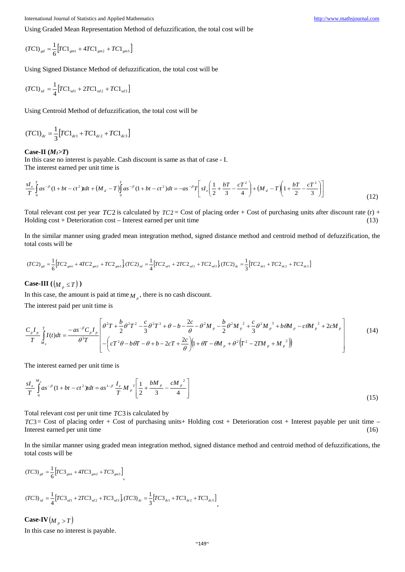Using Graded Mean Representation Method of defuzzification, the total cost will be

$$
(TC1)_{gd} = \frac{1}{6} \Big[ TC1_{gm1} + 4TC1_{gm2} + TC1_{gm3} \Big]
$$

Using Signed Distance Method of defuzzification, the total cost will be

$$
(TC1)_{sd} = \frac{1}{4} [TC1_{sd1} + 2TC1_{sd2} + TC1_{sd3}]
$$

Using Centroid Method of defuzzification, the total cost will be

$$
(TC1)_{dc} = \frac{1}{3} [TC1_{dc1} + TC1_{dc2} + TC1_{dc3}]
$$

#### **Case-II (***M1>T***)**

In this case no interest is payable. Cash discount is same as that of case - I. The interest earned per unit time is

$$
\frac{sI_e}{T}\int_{0}^{T} as^{-\beta}(1+bt-ct^2)dt + (M_d - T)\int_{0}^{T} as^{-\beta}(1+bt-ct^2)dt = -as^{-\beta}T\left[sI_e\left(\frac{1}{2} + \frac{bT}{3} - \frac{cT^2}{4}\right) + (M_d - T)\left(1 + \frac{bT}{2} - \frac{cT^2}{3}\right)\right]
$$
\n(12)

Total relevant cost per year *TC*2 is calculated by  $TC2 = Cost$  of placing order + Cost of purchasing units after discount rate (r) + Holding cost + Deterioration cost – Interest earned per unit time (13)

In the similar manner using graded mean integration method, signed distance method and centroid method of defuzzification, the total costs will be

$$
(TC2)_{gd} = \frac{1}{6} \Big[ TC2_{gm1} + 4TC2_{gm2} + TC2_{gm3} \Big] (TC2)_{sd} = \frac{1}{4} \Big[ TC2_{sd1} + 2TC2_{sd2} + TC2_{sd3} \Big] (TC2)_{dc} = \frac{1}{3} \Big[ TC2_{dc1} + TC2_{dc2} + TC2_{dc3} \Big]
$$

**Case-III** ( $(M_p \leq T)$ )

In this case, the amount is paid at time  $M_{p}$ , there is no cash discount.

The interest paid per unit time is

$$
\frac{C_{p}I_{p}}{T}\int_{M_{p}}^{T} I(t)dt = \frac{-as^{-\beta}C_{p}I_{p}}{\theta^{3}T}\left[\frac{\theta^{2}T + \frac{b}{2}\theta^{2}T^{2} - \frac{c}{3}\theta^{2}T^{3} + \theta - b - \frac{2c}{\theta} - \theta^{2}M_{p} - \frac{b}{2}\theta^{2}M_{p}^{2} + \frac{c}{3}\theta^{2}M_{p}^{3} + b\theta M_{p} - c\theta M_{p}^{2} + 2cM_{p}}{-\left(cT^{2}\theta - b\theta T - \theta + b - 2cT + \frac{2c}{\theta}\right)\left(1 + \theta T - \theta M_{p} + \theta^{2}\left(T^{2} - 2T M_{p} + M_{p}^{2}\right)\right)}\right]
$$
(14)

The interest earned per unit time is

$$
\frac{sI_e}{T}\int_{0}^{M_p} as^{-\beta} (1+bt-ct^2) t dt = as^{1-\beta} \frac{I_e}{T} M_p^2 \left[ \frac{1}{2} + \frac{bM_p}{3} - \frac{cM_p^2}{4} \right]
$$
\n(15)

Total relevant cost per unit time *TC*3 is calculated by

*TC*3= Cost of placing order + Cost of purchasing units+ Holding cost + Deterioration cost + Interest payable per unit time – Interest earned per unit time (16)

In the similar manner using graded mean integration method, signed distance method and centroid method of defuzzifications, the total costs will be

$$
(TC3)_{sd} = \frac{1}{6} \Big[ TC3_{gm1} + 4TC3_{gm2} + TC3_{gm3} \Big],
$$
  

$$
(TC3)_{sd} = \frac{1}{4} \Big[ TC3_{sd1} + 2TC3_{sd2} + TC3_{sd3} \Big] (TC3)_{dc} = \frac{1}{3} \Big[ TC3_{dc1} + TC3_{dc2} + TC3_{dc3} \Big],
$$

**Case-IV** $(M_p > T)$ 

In this case no interest is payable.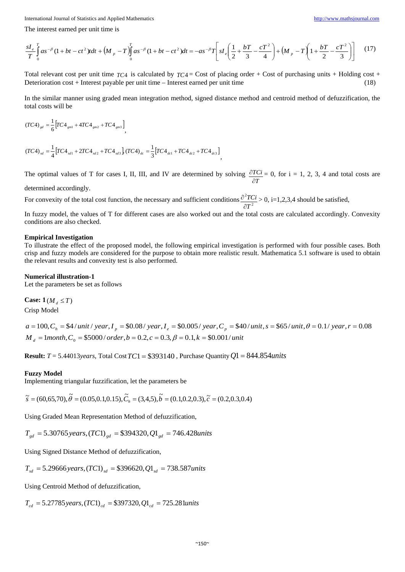The interest earned per unit time is

$$
\frac{sI_e}{T}\int_0^T as^{-\beta}(1+bt-ct^2)tdt + \left(M_p - T\right)\int_0^T as^{-\beta}(1+bt-ct^2)dt = -as^{-\beta}T\left[sI_e\left(\frac{1}{2} + \frac{bT}{3} - \frac{cT^2}{4}\right) + \left(M_p - T\left(1 + \frac{bT}{2} - \frac{cT^2}{3}\right)\right)\right]
$$
(17)

Total relevant cost per unit time  $TC4$  is calculated by  $TC4 = Cost$  of placing order + Cost of purchasing units + Holding cost + Deterioration cost + Interest payable per unit time – Interest earned per unit time (18)

In the similar manner using graded mean integration method, signed distance method and centroid method of defuzzification, the total costs will be

$$
(TC4)_{sd} = \frac{1}{6} \Big[ TC4_{gm1} + 4TC4_{gm2} + TC4_{gm3} \Big],
$$
  

$$
(TC4)_{sd} = \frac{1}{4} \Big[ TC4_{sd1} + 2TC4_{sd2} + TC4_{sd3} \Big], (TC4)_{dc} = \frac{1}{3} \Big[ TC4_{dc1} + TC4_{dc2} + TC4_{dc3} \Big],
$$

The optimal values of T for cases I, II, III, and IV are determined by solving *T TCi* ∂  $\frac{\partial TCi}{\partial t} = 0$ , for i = 1, 2, 3, 4 and total costs are

determined accordingly.

For convexity of the total cost function, the necessary and sufficient conditions  $\frac{\partial^2 T G}{\partial T^2}$ *T TCi* ∂  $\frac{\partial^2 TC_i}{\partial t} > 0$ , i=1,2,3,4 should be satisfied,

In fuzzy model, the values of T for different cases are also worked out and the total costs are calculated accordingly. Convexity conditions are also checked.

#### **Empirical Investigation**

To illustrate the effect of the proposed model, the following empirical investigation is performed with four possible cases. Both crisp and fuzzy models are considered for the purpose to obtain more realistic result. Mathematica 5.1 software is used to obtain the relevant results and convexity test is also performed.

#### **Numerical illustration-1**

Let the parameters be set as follows

**Case:**  $1(M_A \leq T)$ Crisp Model

 $M<sub>d</sub> = 1$ *month*,  $C<sub>0</sub> = $5000 / order$ ,  $b = 0.2$ ,  $c = 0.3$ ,  $\beta = 0.1$ ,  $k = $0.001 / unit$ a =  $100$ ,  $C_h$  = \$4/unit/year, I  $_p$  = \$0.08/year, I  $_e$  = \$0.005/year,  $C_p$  = \$40/unit, s = \$65/unit,  $\theta$  = 0.1/year, r = 0.08

**Result:** *T* = 5.44013*years*, Total Cost*TC*1 = \$393140 , Purchase Quantity*Q*1 = 844.854*units*

#### **Fuzzy Model**

Implementing triangular fuzzification, let the parameters be

 $\tilde{s} = (60.65, 70), \tilde{\theta} = (0.05, 0.1, 0.15), \tilde{C}_1 = (3, 4, 5), \tilde{b} = (0.1, 0.2, 0.3), \tilde{c} = (0.2, 0.3, 0.4)$ 

Using Graded Mean Representation Method of defuzzification,

 $T_{gd} = 5.30765 \, years, (TC1)_{gd} = $394320, Q1_{gd} = 746.428 units$ 

Using Signed Distance Method of defuzzification,

 $T_{sd} = 5.29666 \text{ years}, (TC1)_{sd} = $396620, Q1_{sd} = 738.587 \text{ units}$ 

Using Centroid Method of defuzzification,

 $T_{ad} = 5.27785 \, years, (TC1)_{cd} = $397320, Q1_{cd} = 725.281 units$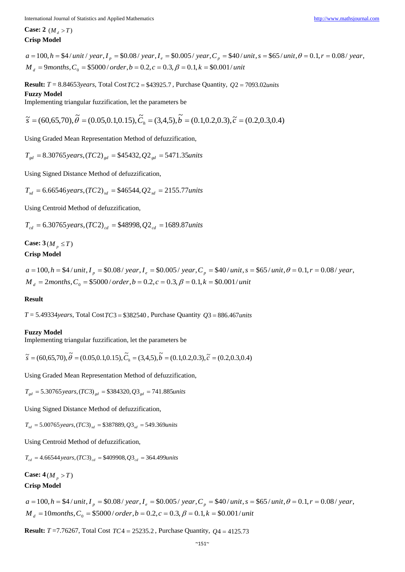**Case:** 2  $(M_{\text{A}} > T)$ **Crisp Model**

 $M<sub>d</sub> = 9 months, C<sub>0</sub> = $5000/ order, b = 0.2, c = 0.3, \beta = 0.1, k = $0.001/unit$ a =  $100$ , h = \$4 / unit / year, I  $_p$  = \$0.08 / year, I  $_e$  = \$0.005 / year, C  $_p$  = \$40 / unit, s = \$65 / unit,  $\theta$  = 0.1, r = 0.08 / year,

**Result:** *T* = 8.84653*years*, Total Cost*TC*2 = \$43925.7 , Purchase Quantity, *Q*2 = 7093.02*units* **Fuzzy Model**

Implementing triangular fuzzification, let the parameters be

 $\tilde{s} = (60,65,70), \tilde{\theta} = (0.05,0.1,0.15), \tilde{C}_b = (3,4,5), \tilde{b} = (0.1,0.2,0.3), \tilde{c} = (0.2,0.3,0.4)$ 

Using Graded Mean Representation Method of defuzzification,

 $T_{gd} = 8.30765 \, years, (TC2)_{gd} = $45432, Q2_{gd} = 5471.35 units$ 

Using Signed Distance Method of defuzzification,

 $T_{sd} = 6.66546 \text{ years}, (TC2)_{sd} = $46544, Q2_{sd} = 2155.77 \text{ units}$ 

Using Centroid Method of defuzzification,

 $T_{cd} = 6.30765 \, years, (TC2)_{cd} = $48998, Q2_{cd} = 1689.87 units$ 

**Case:**  $3(M_p \leq T)$ **Crisp Model**

 $M<sub>d</sub> = 2 months, C<sub>0</sub> = $5000 / order, b = 0.2, c = 0.3, \beta = 0.1, k = $0.001 / unit$  $a = 100$ ,  $h = $4/$  unit,  $I_p = $0.08/$  year,  $I_e = $0.005/$  year,  $C_p = $40/$  unit,  $s = $65/$  unit,  $\theta = 0.1$ ,  $r = 0.08/$  year,

#### **Result**

*T* = 5.49334*years*, Total Cost*TC*3 = \$382540 , Purchase Quantity *Q*3 = 886.467*units*

#### **Fuzzy Model**

Implementing triangular fuzzification, let the parameters be

 $\tilde{s} = (60,65,70), \tilde{\theta} = (0.05,0.1,0.15), \tilde{C}_b = (3,4,5), \tilde{b} = (0.1,0.2,0.3), \tilde{c} = (0.2,0.3,0.4)$ 

Using Graded Mean Representation Method of defuzzification,

 $T_{sd} = 5.30765 \, years, (TC3)_{gd} = $384320, Q3_{gd} = 741.885 units$ 

Using Signed Distance Method of defuzzification,

 $T_{sd} = 5.00765 \, years, (TC3)_{sd} = $387889, Q3_{sd} = 549.369 \, units$ 

Using Centroid Method of defuzzification,

 $T_{\rm od} = 4.66544$  years,  $(TC3)_{cd} = $409908$ ,  $Q3_{cd} = 364.499$  units

**Case:**  $4(M_{n} > T)$ 

# **Crisp Model**

 $M<sub>d</sub> = 10 months, C<sub>0</sub> = $5000 / order, b = 0.2, c = 0.3, \beta = 0.1, k = $0.001 / unit$  $a = 100$ ,  $h = $4/$  unit,  $I_p = $0.08/$  year,  $I_e = $0.005/$  year,  $C_p = $40/$  unit,  $s = $65/$  unit,  $\theta = 0.1$ ,  $r = 0.08/$  year,

**Result:** *T* =7.76267, Total Cost *TC*4 = 25235.2 , Purchase Quantity, *Q*4 = 4125.73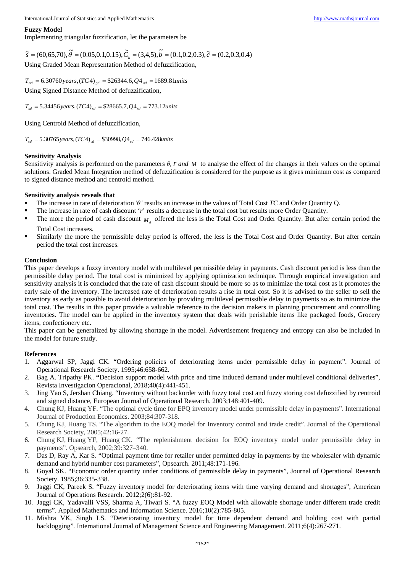#### **Fuzzy Model**

Implementing triangular fuzzification, let the parameters be

 $\tilde{s} = (60,65,70), \tilde{\theta} = (0.05,0.1,0.15), \tilde{C}_h = (3,4,5), \tilde{b} = (0.1,0.2,0.3), \tilde{c} = (0.2,0.3,0.4)$ Using Graded Mean Representation Method of defuzzification,

 $T_{gd} = 6.30760 \, years, (TC4)_{gd} = $26344.6, Q4_{gd} = 1689.81 units$ Using Signed Distance Method of defuzzification,

 $T_{sd} = 5.34456 \text{ years}, (TC4)_{sd} = $28665.7, Q4_{sd} = 773.12 \text{units}$ 

Using Centroid Method of defuzzification,

 $T_{cd} = 5.30765 \, years, (TC4)_{cd} = $30998, Q4_{cd} = 746.428 units$ 

#### **Sensitivity Analysis**

Sensitivity analysis is performed on the parameters *θ,r and M* to analyse the effect of the changes in their values on the optimal solutions. Graded Mean Integration method of defuzzification is considered for the purpose as it gives minimum cost as compared to signed distance method and centroid method.

#### **Sensitivity analysis reveals that**

- The increase in rate of deterioration '*θ'* results an increase in the values of Total Cost *TC* and Order Quantity Q.
- The increase in rate of cash discount '*r*' results a decrease in the total cost but results more Order Quantity.
- The more the period of cash discount  $M<sub>1</sub>$  offered the less is the Total Cost and Order Quantity. But after certain period the Total Cost increases.
- Similarly the more the permissible delay period is offered, the less is the Total Cost and Order Quantity. But after certain period the total cost increases.

#### **Conclusion**

This paper develops a fuzzy inventory model with multilevel permissible delay in payments. Cash discount period is less than the permissible delay period. The total cost is minimized by applying optimization technique. Through empirical investigation and sensitivity analysis it is concluded that the rate of cash discount should be more so as to minimize the total cost as it promotes the early sale of the inventory. The increased rate of deterioration results a rise in total cost. So it is advised to the seller to sell the inventory as early as possible to avoid deterioration by providing multilevel permissible delay in payments so as to minimize the total cost. The results in this paper provide a valuable reference to the decision makers in planning procurement and controlling inventories. The model can be applied in the inventory system that deals with perishable items like packaged foods, Grocery items, confectionery etc.

This paper can be generalized by allowing shortage in the model. Advertisement frequency and entropy can also be included in the model for future study.

# **References**

- 1. Aggarwal SP, Jaggi CK. "Ordering policies of deteriorating items under permissible delay in payment". Journal of Operational Research Society. 1995;46:658-662.
- 2. Bag A. Tripathy PK. **"**Decision support model with price and time induced demand under multilevel conditional deliveries", Revista Investigacion Operacional*,* 2018;40(4):441-451.
- 3. Jing Yao S, Jershan Chiang. "Inventory without backorder with fuzzy total cost and fuzzy storing cost defuzzified by centroid and signed distance, European Journal of Operational Research. 2003;148:401-409.
- 4. Chung KJ, Huang YF. "The optimal cycle time for EPQ inventory model under permissible delay in payments". International Journal of Production Economics. 2003;84:307-318.
- 5. Chung KJ, Huang TS. "The algorithm to the EOQ model for Inventory control and trade credit". Journal of the Operational Research Society*,* 2005;42:16-27.
- 6. Chung KJ, Huang YF, Huang CK. "The replenishment decision for EOQ inventory model under permissible delay in payments". Opsearch, 2002;39:327–340.
- 7. Das D, Ray A, Kar S. "Optimal payment time for retailer under permitted delay in payments by the wholesaler with dynamic demand and hybrid number cost parameters", Opsearch. 2011;48:171-196.
- 8. Goyal SK. "Economic order quantity under conditions of permissible delay in payments", Journal of Operational Research Society. 1985;36:335-338.
- 9. Jaggi CK, Pareek S. "Fuzzy inventory model for deteriorating items with time varying demand and shortages", American Journal of Operations Research. 2012;2(6):81-92.
- 10. Jaggi CK, Yadavalli VSS, Sharma A, Tiwari S. "A fuzzy EOQ Model with allowable shortage under different trade credit terms". Applied Mathematics and Information Science. 2016;10(2):785-805.
- 11. Mishra VK, Singh LS. "Deteriorating inventory model for time dependent demand and holding cost with partial backlogging"*.* International Journal of Management Science and Engineering Management. 2011;6(4):267-271.